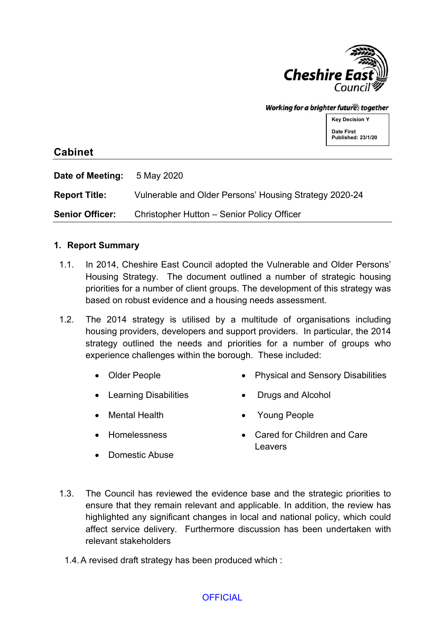

Working for a brighter futures together

**Key Decision Y Date First Published: 23/1/20**

# **Cabinet**

**Date of Meeting:** 5 May 2020 **Report Title:** Vulnerable and Older Persons' Housing Strategy 2020-24 **Senior Officer:** Christopher Hutton – Senior Policy Officer

## **1. Report Summary**

- 1.1. In 2014, Cheshire East Council adopted the Vulnerable and Older Persons' Housing Strategy. The document outlined a number of strategic housing priorities for a number of client groups. The development of this strategy was based on robust evidence and a housing needs assessment.
- 1.2. The 2014 strategy is utilised by a multitude of organisations including housing providers, developers and support providers. In particular, the 2014 strategy outlined the needs and priorities for a number of groups who experience challenges within the borough. These included:
	- Older People Physical and Sensory Disabilities
	- Learning Disabilities
- Drugs and Alcohol
- Mental Health

Young People

Homelessness

 Cared for Children and Care Leavers

- Domestic Abuse
- 1.3. The Council has reviewed the evidence base and the strategic priorities to ensure that they remain relevant and applicable. In addition, the review has highlighted any significant changes in local and national policy, which could affect service delivery. Furthermore discussion has been undertaken with relevant stakeholders
	- 1.4.A revised draft strategy has been produced which :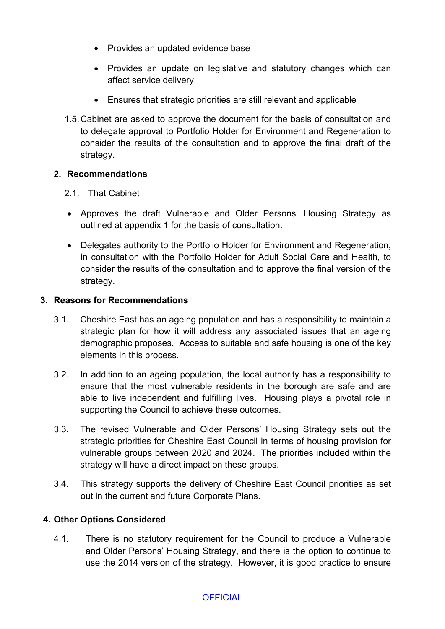- Provides an updated evidence base
- Provides an update on legislative and statutory changes which can affect service delivery
- Ensures that strategic priorities are still relevant and applicable
- 1.5.Cabinet are asked to approve the document for the basis of consultation and to delegate approval to Portfolio Holder for Environment and Regeneration to consider the results of the consultation and to approve the final draft of the strategy.

## **2. Recommendations**

- 2.1. That Cabinet
- Approves the draft Vulnerable and Older Persons' Housing Strategy as outlined at appendix 1 for the basis of consultation.
- Delegates authority to the Portfolio Holder for Environment and Regeneration, in consultation with the Portfolio Holder for Adult Social Care and Health, to consider the results of the consultation and to approve the final version of the strategy.

## **3. Reasons for Recommendations**

- 3.1. Cheshire East has an ageing population and has a responsibility to maintain a strategic plan for how it will address any associated issues that an ageing demographic proposes. Access to suitable and safe housing is one of the key elements in this process.
- 3.2. In addition to an ageing population, the local authority has a responsibility to ensure that the most vulnerable residents in the borough are safe and are able to live independent and fulfilling lives. Housing plays a pivotal role in supporting the Council to achieve these outcomes.
- 3.3. The revised Vulnerable and Older Persons' Housing Strategy sets out the strategic priorities for Cheshire East Council in terms of housing provision for vulnerable groups between 2020 and 2024. The priorities included within the strategy will have a direct impact on these groups.
- 3.4. This strategy supports the delivery of Cheshire East Council priorities as set out in the current and future Corporate Plans.

## **4. Other Options Considered**

4.1. There is no statutory requirement for the Council to produce a Vulnerable and Older Persons' Housing Strategy, and there is the option to continue to use the 2014 version of the strategy. However, it is good practice to ensure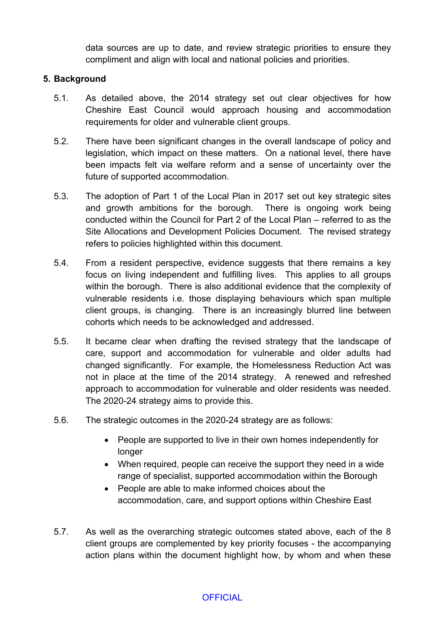data sources are up to date, and review strategic priorities to ensure they compliment and align with local and national policies and priorities.

#### **5. Background**

- 5.1. As detailed above, the 2014 strategy set out clear objectives for how Cheshire East Council would approach housing and accommodation requirements for older and vulnerable client groups.
- 5.2. There have been significant changes in the overall landscape of policy and legislation, which impact on these matters. On a national level, there have been impacts felt via welfare reform and a sense of uncertainty over the future of supported accommodation.
- 5.3. The adoption of Part 1 of the Local Plan in 2017 set out key strategic sites and growth ambitions for the borough. There is ongoing work being conducted within the Council for Part 2 of the Local Plan – referred to as the Site Allocations and Development Policies Document. The revised strategy refers to policies highlighted within this document.
- 5.4. From a resident perspective, evidence suggests that there remains a key focus on living independent and fulfilling lives. This applies to all groups within the borough. There is also additional evidence that the complexity of vulnerable residents i.e. those displaying behaviours which span multiple client groups, is changing. There is an increasingly blurred line between cohorts which needs to be acknowledged and addressed.
- 5.5. It became clear when drafting the revised strategy that the landscape of care, support and accommodation for vulnerable and older adults had changed significantly. For example, the Homelessness Reduction Act was not in place at the time of the 2014 strategy. A renewed and refreshed approach to accommodation for vulnerable and older residents was needed. The 2020-24 strategy aims to provide this.
- 5.6. The strategic outcomes in the 2020-24 strategy are as follows:
	- People are supported to live in their own homes independently for longer
	- When required, people can receive the support they need in a wide range of specialist, supported accommodation within the Borough
	- People are able to make informed choices about the accommodation, care, and support options within Cheshire East
- 5.7. As well as the overarching strategic outcomes stated above, each of the 8 client groups are complemented by key priority focuses - the accompanying action plans within the document highlight how, by whom and when these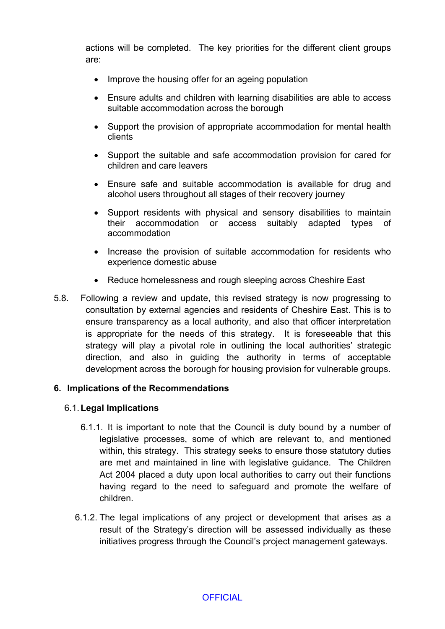actions will be completed. The key priorities for the different client groups are:

- Improve the housing offer for an ageing population
- Ensure adults and children with learning disabilities are able to access suitable accommodation across the borough
- Support the provision of appropriate accommodation for mental health clients
- Support the suitable and safe accommodation provision for cared for children and care leavers
- Ensure safe and suitable accommodation is available for drug and alcohol users throughout all stages of their recovery journey
- Support residents with physical and sensory disabilities to maintain their accommodation or access suitably adapted types of accommodation
- Increase the provision of suitable accommodation for residents who experience domestic abuse
- Reduce homelessness and rough sleeping across Cheshire East
- 5.8. Following a review and update, this revised strategy is now progressing to consultation by external agencies and residents of Cheshire East. This is to ensure transparency as a local authority, and also that officer interpretation is appropriate for the needs of this strategy. It is foreseeable that this strategy will play a pivotal role in outlining the local authorities' strategic direction, and also in guiding the authority in terms of acceptable development across the borough for housing provision for vulnerable groups.

#### **6. Implications of the Recommendations**

#### 6.1.**Legal Implications**

- 6.1.1. It is important to note that the Council is duty bound by a number of legislative processes, some of which are relevant to, and mentioned within, this strategy. This strategy seeks to ensure those statutory duties are met and maintained in line with legislative guidance. The Children Act 2004 placed a duty upon local authorities to carry out their functions having regard to the need to safeguard and promote the welfare of children.
- 6.1.2. The legal implications of any project or development that arises as a result of the Strategy's direction will be assessed individually as these initiatives progress through the Council's project management gateways.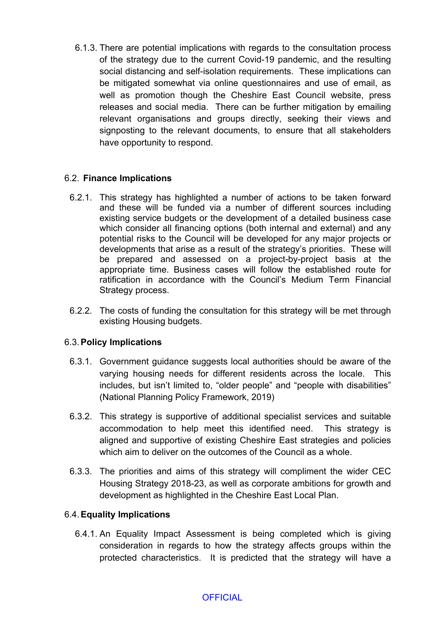6.1.3. There are potential implications with regards to the consultation process of the strategy due to the current Covid-19 pandemic, and the resulting social distancing and self-isolation requirements. These implications can be mitigated somewhat via online questionnaires and use of email, as well as promotion though the Cheshire East Council website, press releases and social media. There can be further mitigation by emailing relevant organisations and groups directly, seeking their views and signposting to the relevant documents, to ensure that all stakeholders have opportunity to respond.

## 6.2. **Finance Implications**

- 6.2.1. This strategy has highlighted a number of actions to be taken forward and these will be funded via a number of different sources including existing service budgets or the development of a detailed business case which consider all financing options (both internal and external) and any potential risks to the Council will be developed for any major projects or developments that arise as a result of the strategy's priorities. These will be prepared and assessed on a project-by-project basis at the appropriate time. Business cases will follow the established route for ratification in accordance with the Council's Medium Term Financial Strategy process.
- 6.2.2. The costs of funding the consultation for this strategy will be met through existing Housing budgets.

#### 6.3.**Policy Implications**

- 6.3.1. Government guidance suggests local authorities should be aware of the varying housing needs for different residents across the locale. This includes, but isn't limited to, "older people" and "people with disabilities" (National Planning Policy Framework, 2019)
- 6.3.2. This strategy is supportive of additional specialist services and suitable accommodation to help meet this identified need. This strategy is aligned and supportive of existing Cheshire East strategies and policies which aim to deliver on the outcomes of the Council as a whole.
- 6.3.3. The priorities and aims of this strategy will compliment the wider CEC Housing Strategy 2018-23, as well as corporate ambitions for growth and development as highlighted in the Cheshire East Local Plan.

## 6.4.**Equality Implications**

6.4.1. An Equality Impact Assessment is being completed which is giving consideration in regards to how the strategy affects groups within the protected characteristics. It is predicted that the strategy will have a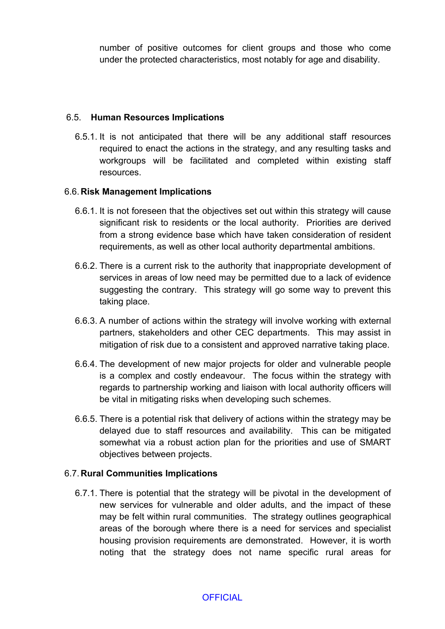number of positive outcomes for client groups and those who come under the protected characteristics, most notably for age and disability.

#### 6.5. **Human Resources Implications**

6.5.1. It is not anticipated that there will be any additional staff resources required to enact the actions in the strategy, and any resulting tasks and workgroups will be facilitated and completed within existing staff resources.

#### 6.6. **Risk Management Implications**

- 6.6.1. It is not foreseen that the objectives set out within this strategy will cause significant risk to residents or the local authority. Priorities are derived from a strong evidence base which have taken consideration of resident requirements, as well as other local authority departmental ambitions.
- 6.6.2. There is a current risk to the authority that inappropriate development of services in areas of low need may be permitted due to a lack of evidence suggesting the contrary. This strategy will go some way to prevent this taking place.
- 6.6.3. A number of actions within the strategy will involve working with external partners, stakeholders and other CEC departments. This may assist in mitigation of risk due to a consistent and approved narrative taking place.
- 6.6.4. The development of new major projects for older and vulnerable people is a complex and costly endeavour. The focus within the strategy with regards to partnership working and liaison with local authority officers will be vital in mitigating risks when developing such schemes.
- 6.6.5. There is a potential risk that delivery of actions within the strategy may be delayed due to staff resources and availability. This can be mitigated somewhat via a robust action plan for the priorities and use of SMART objectives between projects.

#### 6.7. **Rural Communities Implications**

6.7.1. There is potential that the strategy will be pivotal in the development of new services for vulnerable and older adults, and the impact of these may be felt within rural communities. The strategy outlines geographical areas of the borough where there is a need for services and specialist housing provision requirements are demonstrated. However, it is worth noting that the strategy does not name specific rural areas for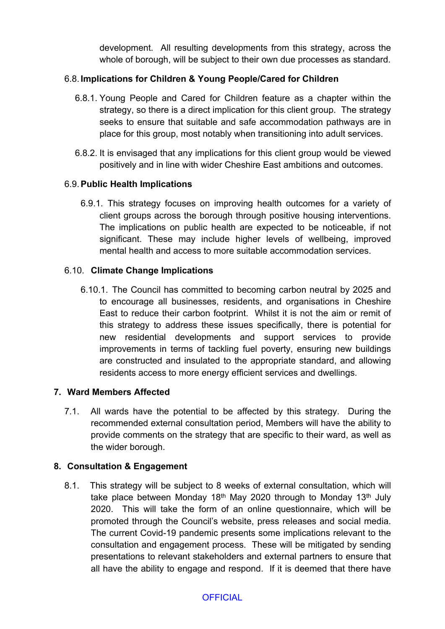development. All resulting developments from this strategy, across the whole of borough, will be subject to their own due processes as standard.

# 6.8. **Implications for Children & Young People/Cared for Children**

- 6.8.1. Young People and Cared for Children feature as a chapter within the strategy, so there is a direct implication for this client group. The strategy seeks to ensure that suitable and safe accommodation pathways are in place for this group, most notably when transitioning into adult services.
- 6.8.2. It is envisaged that any implications for this client group would be viewed positively and in line with wider Cheshire East ambitions and outcomes.

# 6.9.**Public Health Implications**

6.9.1. This strategy focuses on improving health outcomes for a variety of client groups across the borough through positive housing interventions. The implications on public health are expected to be noticeable, if not significant. These may include higher levels of wellbeing, improved mental health and access to more suitable accommodation services.

## 6.10. **Climate Change Implications**

6.10.1. The Council has committed to becoming carbon neutral by 2025 and to encourage all businesses, residents, and organisations in Cheshire East to reduce their carbon footprint. Whilst it is not the aim or remit of this strategy to address these issues specifically, there is potential for new residential developments and support services to provide improvements in terms of tackling fuel poverty, ensuring new buildings are constructed and insulated to the appropriate standard, and allowing residents access to more energy efficient services and dwellings.

## **7. Ward Members Affected**

7.1. All wards have the potential to be affected by this strategy. During the recommended external consultation period, Members will have the ability to provide comments on the strategy that are specific to their ward, as well as the wider borough.

## **8. Consultation & Engagement**

8.1. This strategy will be subject to 8 weeks of external consultation, which will take place between Monday 18<sup>th</sup> May 2020 through to Monday 13<sup>th</sup> July 2020. This will take the form of an online questionnaire, which will be promoted through the Council's website, press releases and social media. The current Covid-19 pandemic presents some implications relevant to the consultation and engagement process. These will be mitigated by sending presentations to relevant stakeholders and external partners to ensure that all have the ability to engage and respond. If it is deemed that there have